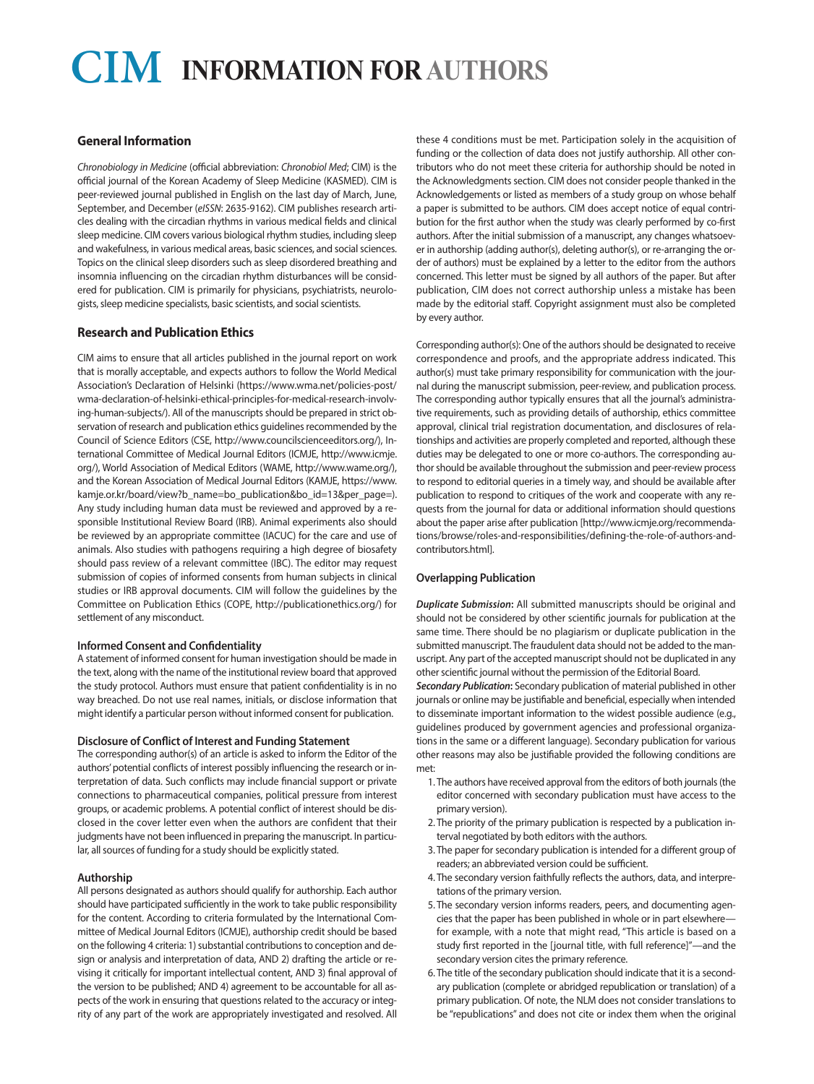# $CIM$  **INFORMATION FOR AUTHORS**

# **General Information**

*Chronobiology in Medicine* (official abbreviation: *Chronobiol Med*; CIM) is the official journal of the Korean Academy of Sleep Medicine (KASMED). CIM is peer-reviewed journal published in English on the last day of March, June, September, and December (*eISSN*: 2635-9162). CIM publishes research articles dealing with the circadian rhythms in various medical fields and clinical sleep medicine. CIM covers various biological rhythm studies, including sleep and wakefulness, in various medical areas, basic sciences, and social sciences. Topics on the clinical sleep disorders such as sleep disordered breathing and insomnia influencing on the circadian rhythm disturbances will be considered for publication. CIM is primarily for physicians, psychiatrists, neurologists, sleep medicine specialists, basic scientists, and social scientists.

# **Research and Publication Ethics**

CIM aims to ensure that all articles published in the journal report on work that is morally acceptable, and expects authors to follow the World Medical Association's Declaration of Helsinki (https://www.wma.net/policies-post/ wma-declaration-of-helsinki-ethical-principles-for-medical-research-involving-human-subjects/). All of the manuscripts should be prepared in strict observation of research and publication ethics guidelines recommended by the Council of Science Editors (CSE, http://www.councilscienceeditors.org/), International Committee of Medical Journal Editors (ICMJE, http://www.icmje. org/), World Association of Medical Editors (WAME, http://www.wame.org/), and the Korean Association of Medical Journal Editors (KAMJE, https://www. kamje.or.kr/board/view?b\_name=bo\_publication&bo\_id=13&per\_page=). Any study including human data must be reviewed and approved by a responsible Institutional Review Board (IRB). Animal experiments also should be reviewed by an appropriate committee (IACUC) for the care and use of animals. Also studies with pathogens requiring a high degree of biosafety should pass review of a relevant committee (IBC). The editor may request submission of copies of informed consents from human subjects in clinical studies or IRB approval documents. CIM will follow the guidelines by the Committee on Publication Ethics (COPE, http://publicationethics.org/) for settlement of any misconduct.

#### **Informed Consent and Confidentiality**

A statement of informed consent for human investigation should be made in the text, along with the name of the institutional review board that approved the study protocol. Authors must ensure that patient confidentiality is in no way breached. Do not use real names, initials, or disclose information that might identify a particular person without informed consent for publication.

#### **Disclosure of Conflict of Interest and Funding Statement**

The corresponding author(s) of an article is asked to inform the Editor of the authors' potential conflicts of interest possibly influencing the research or interpretation of data. Such conflicts may include financial support or private connections to pharmaceutical companies, political pressure from interest groups, or academic problems. A potential conflict of interest should be disclosed in the cover letter even when the authors are confident that their judgments have not been influenced in preparing the manuscript. In particular, all sources of funding for a study should be explicitly stated.

#### **Authorship**

All persons designated as authors should qualify for authorship. Each author should have participated sufficiently in the work to take public responsibility for the content. According to criteria formulated by the International Committee of Medical Journal Editors (ICMJE), authorship credit should be based on the following 4 criteria: 1) substantial contributions to conception and design or analysis and interpretation of data, AND 2) drafting the article or revising it critically for important intellectual content, AND 3) final approval of the version to be published; AND 4) agreement to be accountable for all aspects of the work in ensuring that questions related to the accuracy or integrity of any part of the work are appropriately investigated and resolved. All

these 4 conditions must be met. Participation solely in the acquisition of funding or the collection of data does not justify authorship. All other contributors who do not meet these criteria for authorship should be noted in the Acknowledgments section. CIM does not consider people thanked in the Acknowledgements or listed as members of a study group on whose behalf a paper is submitted to be authors. CIM does accept notice of equal contribution for the first author when the study was clearly performed by co-first authors. After the initial submission of a manuscript, any changes whatsoever in authorship (adding author(s), deleting author(s), or re-arranging the order of authors) must be explained by a letter to the editor from the authors concerned. This letter must be signed by all authors of the paper. But after publication, CIM does not correct authorship unless a mistake has been made by the editorial staff. Copyright assignment must also be completed by every author.

Corresponding author(s): One of the authors should be designated to receive correspondence and proofs, and the appropriate address indicated. This author(s) must take primary responsibility for communication with the journal during the manuscript submission, peer-review, and publication process. The corresponding author typically ensures that all the journal's administrative requirements, such as providing details of authorship, ethics committee approval, clinical trial registration documentation, and disclosures of relationships and activities are properly completed and reported, although these duties may be delegated to one or more co-authors. The corresponding author should be available throughout the submission and peer-review process to respond to editorial queries in a timely way, and should be available after publication to respond to critiques of the work and cooperate with any requests from the journal for data or additional information should questions about the paper arise after publication [http://www.icmje.org/recommendations/browse/roles-and-responsibilities/defining-the-role-of-authors-andcontributors.html].

#### **Overlapping Publication**

*Duplicate Submission***:** All submitted manuscripts should be original and should not be considered by other scientific journals for publication at the same time. There should be no plagiarism or duplicate publication in the submitted manuscript. The fraudulent data should not be added to the manuscript. Any part of the accepted manuscript should not be duplicated in any other scientific journal without the permission of the Editorial Board.

*Secondary Publication***:** Secondary publication of material published in other journals or online may be justifiable and beneficial, especially when intended to disseminate important information to the widest possible audience (e.g., guidelines produced by government agencies and professional organizations in the same or a different language). Secondary publication for various other reasons may also be justifiable provided the following conditions are met:

- 1. The authors have received approval from the editors of both journals (the editor concerned with secondary publication must have access to the primary version).
- 2. The priority of the primary publication is respected by a publication interval negotiated by both editors with the authors.
- 3. The paper for secondary publication is intended for a different group of readers; an abbreviated version could be sufficient.
- 4. The secondary version faithfully reflects the authors, data, and interpretations of the primary version.
- 5. The secondary version informs readers, peers, and documenting agencies that the paper has been published in whole or in part elsewhere for example, with a note that might read, "This article is based on a study first reported in the [journal title, with full reference]"—and the secondary version cites the primary reference.
- 6. The title of the secondary publication should indicate that it is a secondary publication (complete or abridged republication or translation) of a primary publication. Of note, the NLM does not consider translations to be "republications" and does not cite or index them when the original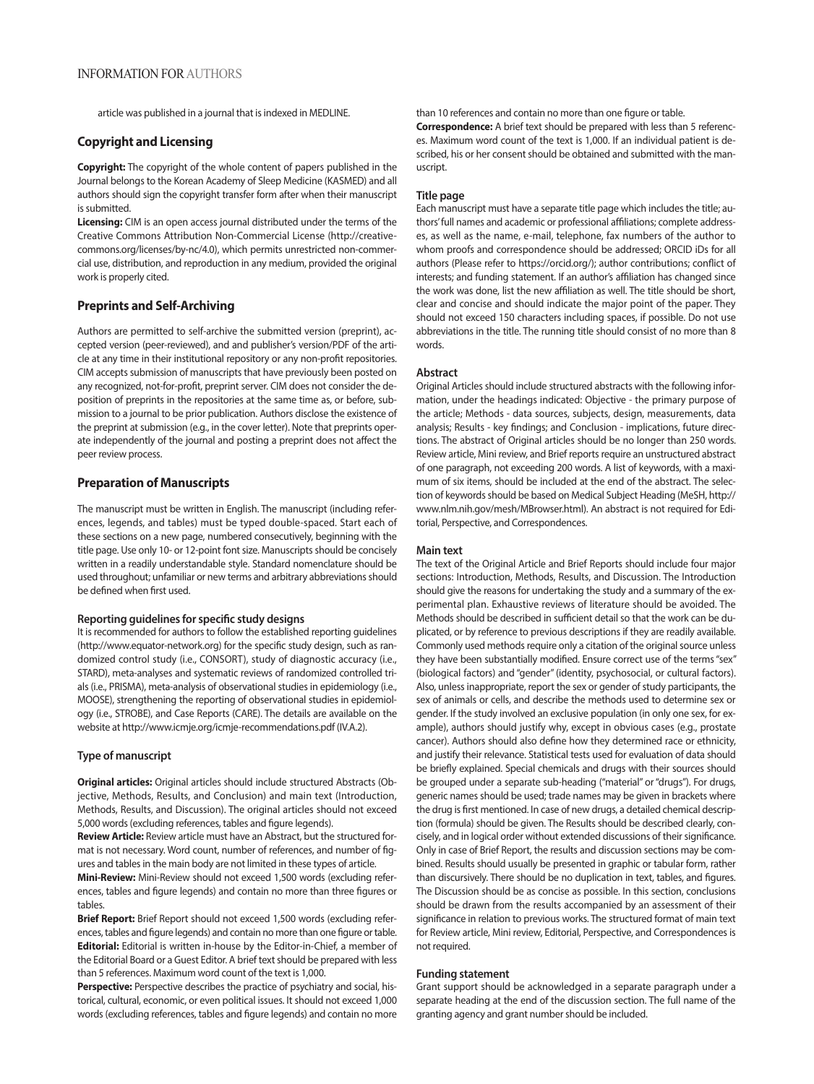article was published in a journal that is indexed in MEDLINE.

# **Copyright and Licensing**

**Copyright:** The copyright of the whole content of papers published in the Journal belongs to the Korean Academy of Sleep Medicine (KASMED) and all authors should sign the copyright transfer form after when their manuscript is submitted.

**Licensing:** CIM is an open access journal distributed under the terms of the Creative Commons Attribution Non-Commercial License (http://creativecommons.org/licenses/by-nc/4.0), which permits unrestricted non-commercial use, distribution, and reproduction in any medium, provided the original work is properly cited.

# **Preprints and Self-Archiving**

Authors are permitted to self-archive the submitted version (preprint), accepted version (peer-reviewed), and and publisher's version/PDF of the article at any time in their institutional repository or any non-profit repositories. CIM accepts submission of manuscripts that have previously been posted on any recognized, not-for-profit, preprint server. CIM does not consider the deposition of preprints in the repositories at the same time as, or before, submission to a journal to be prior publication. Authors disclose the existence of the preprint at submission (e.g., in the cover letter). Note that preprints operate independently of the journal and posting a preprint does not affect the peer review process.

# **Preparation of Manuscripts**

The manuscript must be written in English. The manuscript (including references, legends, and tables) must be typed double-spaced. Start each of these sections on a new page, numbered consecutively, beginning with the title page. Use only 10- or 12-point font size. Manuscripts should be concisely written in a readily understandable style. Standard nomenclature should be used throughout; unfamiliar or new terms and arbitrary abbreviations should be defined when first used.

# **Reporting guidelines for specific study designs**

It is recommended for authors to follow the established reporting guidelines (http://www.equator-network.org) for the specific study design, such as randomized control study (i.e., CONSORT), study of diagnostic accuracy (i.e., STARD), meta-analyses and systematic reviews of randomized controlled trials (i.e., PRISMA), meta-analysis of observational studies in epidemiology (i.e., MOOSE), strengthening the reporting of observational studies in epidemiology (i.e., STROBE), and Case Reports (CARE). The details are available on the website at http://www.icmje.org/icmje-recommendations.pdf (IV.A.2).

# **Type of manuscript**

**Original articles:** Original articles should include structured Abstracts (Objective, Methods, Results, and Conclusion) and main text (Introduction, Methods, Results, and Discussion). The original articles should not exceed 5,000 words (excluding references, tables and figure legends).

**Review Article:** Review article must have an Abstract, but the structured format is not necessary. Word count, number of references, and number of figures and tables in the main body are not limited in these types of article.

**Mini-Review:** Mini-Review should not exceed 1,500 words (excluding references, tables and figure legends) and contain no more than three figures or tables.

**Brief Report:** Brief Report should not exceed 1,500 words (excluding references, tables and figure legends) and contain no more than one figure or table. **Editorial:** Editorial is written in-house by the Editor-in-Chief, a member of the Editorial Board or a Guest Editor. A brief text should be prepared with less than 5 references. Maximum word count of the text is 1,000.

**Perspective:** Perspective describes the practice of psychiatry and social, historical, cultural, economic, or even political issues. It should not exceed 1,000 words (excluding references, tables and figure legends) and contain no more than 10 references and contain no more than one figure or table.

**Correspondence:** A brief text should be prepared with less than 5 references. Maximum word count of the text is 1,000. If an individual patient is described, his or her consent should be obtained and submitted with the manuscript.

#### **Title page**

Each manuscript must have a separate title page which includes the title; authors' full names and academic or professional affiliations; complete addresses, as well as the name, e-mail, telephone, fax numbers of the author to whom proofs and correspondence should be addressed; ORCID iDs for all authors (Please refer to https://orcid.org/); author contributions; conflict of interests; and funding statement. If an author's affiliation has changed since the work was done, list the new affiliation as well. The title should be short, clear and concise and should indicate the major point of the paper. They should not exceed 150 characters including spaces, if possible. Do not use abbreviations in the title. The running title should consist of no more than 8 words.

#### **Abstract**

Original Articles should include structured abstracts with the following information, under the headings indicated: Objective - the primary purpose of the article; Methods - data sources, subjects, design, measurements, data analysis; Results - key findings; and Conclusion - implications, future directions. The abstract of Original articles should be no longer than 250 words. Review article, Mini review, and Brief reports require an unstructured abstract of one paragraph, not exceeding 200 words. A list of keywords, with a maximum of six items, should be included at the end of the abstract. The selection of keywords should be based on Medical Subject Heading (MeSH, http:// www.nlm.nih.gov/mesh/MBrowser.html). An abstract is not required for Editorial, Perspective, and Correspondences.

#### **Main text**

The text of the Original Article and Brief Reports should include four major sections: Introduction, Methods, Results, and Discussion. The Introduction should give the reasons for undertaking the study and a summary of the experimental plan. Exhaustive reviews of literature should be avoided. The Methods should be described in sufficient detail so that the work can be duplicated, or by reference to previous descriptions if they are readily available. Commonly used methods require only a citation of the original source unless they have been substantially modified. Ensure correct use of the terms "sex" (biological factors) and "gender" (identity, psychosocial, or cultural factors). Also, unless inappropriate, report the sex or gender of study participants, the sex of animals or cells, and describe the methods used to determine sex or gender. If the study involved an exclusive population (in only one sex, for example), authors should justify why, except in obvious cases (e.g., prostate cancer). Authors should also define how they determined race or ethnicity, and justify their relevance. Statistical tests used for evaluation of data should be briefly explained. Special chemicals and drugs with their sources should be grouped under a separate sub-heading ("material" or "drugs"). For drugs, generic names should be used; trade names may be given in brackets where the drug is first mentioned. In case of new drugs, a detailed chemical description (formula) should be given. The Results should be described clearly, concisely, and in logical order without extended discussions of their significance. Only in case of Brief Report, the results and discussion sections may be combined. Results should usually be presented in graphic or tabular form, rather than discursively. There should be no duplication in text, tables, and figures. The Discussion should be as concise as possible. In this section, conclusions should be drawn from the results accompanied by an assessment of their significance in relation to previous works. The structured format of main text for Review article, Mini review, Editorial, Perspective, and Correspondences is not required.

#### **Funding statement**

Grant support should be acknowledged in a separate paragraph under a separate heading at the end of the discussion section. The full name of the granting agency and grant number should be included.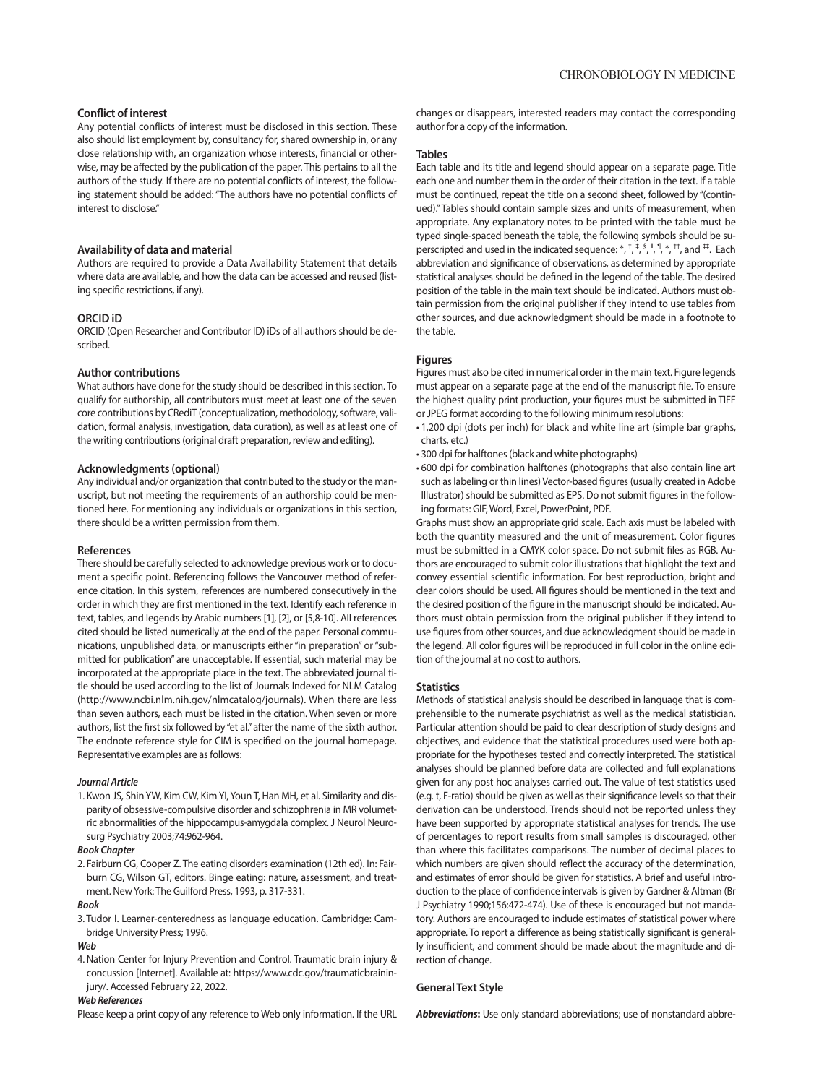# **Conflict of interest**

Any potential conflicts of interest must be disclosed in this section. These also should list employment by, consultancy for, shared ownership in, or any close relationship with, an organization whose interests, financial or otherwise, may be affected by the publication of the paper. This pertains to all the authors of the study. If there are no potential conflicts of interest, the following statement should be added: "The authors have no potential conflicts of interest to disclose."

#### **Availability of data and material**

Authors are required to provide a Data Availability Statement that details where data are available, and how the data can be accessed and reused (listing specific restrictions, if any).

#### **ORCID iD**

ORCID (Open Researcher and Contributor ID) iDs of all authors should be described.

## **Author contributions**

What authors have done for the study should be described in this section. To qualify for authorship, all contributors must meet at least one of the seven core contributions by CRediT (conceptualization, methodology, software, validation, formal analysis, investigation, data curation), as well as at least one of the writing contributions (original draft preparation, review and editing).

#### **Acknowledgments (optional)**

Any individual and/or organization that contributed to the study or the manuscript, but not meeting the requirements of an authorship could be mentioned here. For mentioning any individuals or organizations in this section, there should be a written permission from them.

#### **References**

There should be carefully selected to acknowledge previous work or to document a specific point. Referencing follows the Vancouver method of reference citation. In this system, references are numbered consecutively in the order in which they are first mentioned in the text. Identify each reference in text, tables, and legends by Arabic numbers [1], [2], or [5,8-10]. All references cited should be listed numerically at the end of the paper. Personal communications, unpublished data, or manuscripts either "in preparation" or "submitted for publication" are unacceptable. If essential, such material may be incorporated at the appropriate place in the text. The abbreviated journal title should be used according to the list of Journals Indexed for NLM Catalog (http://www.ncbi.nlm.nih.gov/nlmcatalog/journals). When there are less than seven authors, each must be listed in the citation. When seven or more authors, list the first six followed by "et al." after the name of the sixth author. The endnote reference style for CIM is specified on the journal homepage. Representative examples are as follows:

#### *Journal Article*

1. Kwon JS, Shin YW, Kim CW, Kim YI, Youn T, Han MH, et al. Similarity and disparity of obsessive-compulsive disorder and schizophrenia in MR volumetric abnormalities of the hippocampus-amygdala complex. J Neurol Neurosurg Psychiatry 2003;74:962-964.

#### *Book Chapter*

2. Fairburn CG, Cooper Z. The eating disorders examination (12th ed). In: Fairburn CG, Wilson GT, editors. Binge eating: nature, assessment, and treatment. New York: The Guilford Press, 1993, p. 317-331.

#### *Book*

3. Tudor I. Learner-centeredness as language education. Cambridge: Cambridge University Press; 1996.

#### *Web*

4. Nation Center for Injury Prevention and Control. Traumatic brain injury & concussion [Internet]. Available at: https://www.cdc.gov/traumaticbraininjury/. Accessed February 22, 2022.

#### *Web References*

Please keep a print copy of any reference to Web only information. If the URL

changes or disappears, interested readers may contact the corresponding author for a copy of the information.

#### **Tables**

Each table and its title and legend should appear on a separate page. Title each one and number them in the order of their citation in the text. If a table must be continued, repeat the title on a second sheet, followed by "(continued)." Tables should contain sample sizes and units of measurement, when appropriate. Any explanatory notes to be printed with the table must be typed single-spaced beneath the table, the following symbols should be superscripted and used in the indicated sequence:  $*, *, *, *, *, *,$  th, and  $^{4+}$ . Each abbreviation and significance of observations, as determined by appropriate statistical analyses should be defined in the legend of the table. The desired position of the table in the main text should be indicated. Authors must obtain permission from the original publisher if they intend to use tables from other sources, and due acknowledgment should be made in a footnote to the table.

### **Figures**

Figures must also be cited in numerical order in the main text. Figure legends must appear on a separate page at the end of the manuscript file. To ensure the highest quality print production, your figures must be submitted in TIFF or JPEG format according to the following minimum resolutions:

- 1,200 dpi (dots per inch) for black and white line art (simple bar graphs, charts, etc.)
- 300 dpi for halftones (black and white photographs)
- 600 dpi for combination halftones (photographs that also contain line art such as labeling or thin lines) Vector-based figures (usually created in Adobe Illustrator) should be submitted as EPS. Do not submit figures in the following formats: GIF, Word, Excel, PowerPoint, PDF.

Graphs must show an appropriate grid scale. Each axis must be labeled with both the quantity measured and the unit of measurement. Color figures must be submitted in a CMYK color space. Do not submit files as RGB. Authors are encouraged to submit color illustrations that highlight the text and convey essential scientific information. For best reproduction, bright and clear colors should be used. All figures should be mentioned in the text and the desired position of the figure in the manuscript should be indicated. Authors must obtain permission from the original publisher if they intend to use figures from other sources, and due acknowledgment should be made in the legend. All color figures will be reproduced in full color in the online edition of the journal at no cost to authors.

#### **Statistics**

Methods of statistical analysis should be described in language that is comprehensible to the numerate psychiatrist as well as the medical statistician. Particular attention should be paid to clear description of study designs and objectives, and evidence that the statistical procedures used were both appropriate for the hypotheses tested and correctly interpreted. The statistical analyses should be planned before data are collected and full explanations given for any post hoc analyses carried out. The value of test statistics used (e.g. t, F-ratio) should be given as well as their significance levels so that their derivation can be understood. Trends should not be reported unless they have been supported by appropriate statistical analyses for trends. The use of percentages to report results from small samples is discouraged, other than where this facilitates comparisons. The number of decimal places to which numbers are given should reflect the accuracy of the determination, and estimates of error should be given for statistics. A brief and useful introduction to the place of confidence intervals is given by Gardner & Altman (Br J Psychiatry 1990;156:472-474). Use of these is encouraged but not mandatory. Authors are encouraged to include estimates of statistical power where appropriate. To report a difference as being statistically significant is generally insufficient, and comment should be made about the magnitude and direction of change.

# **General Text Style**

*Abbreviations***:** Use only standard abbreviations; use of nonstandard abbre-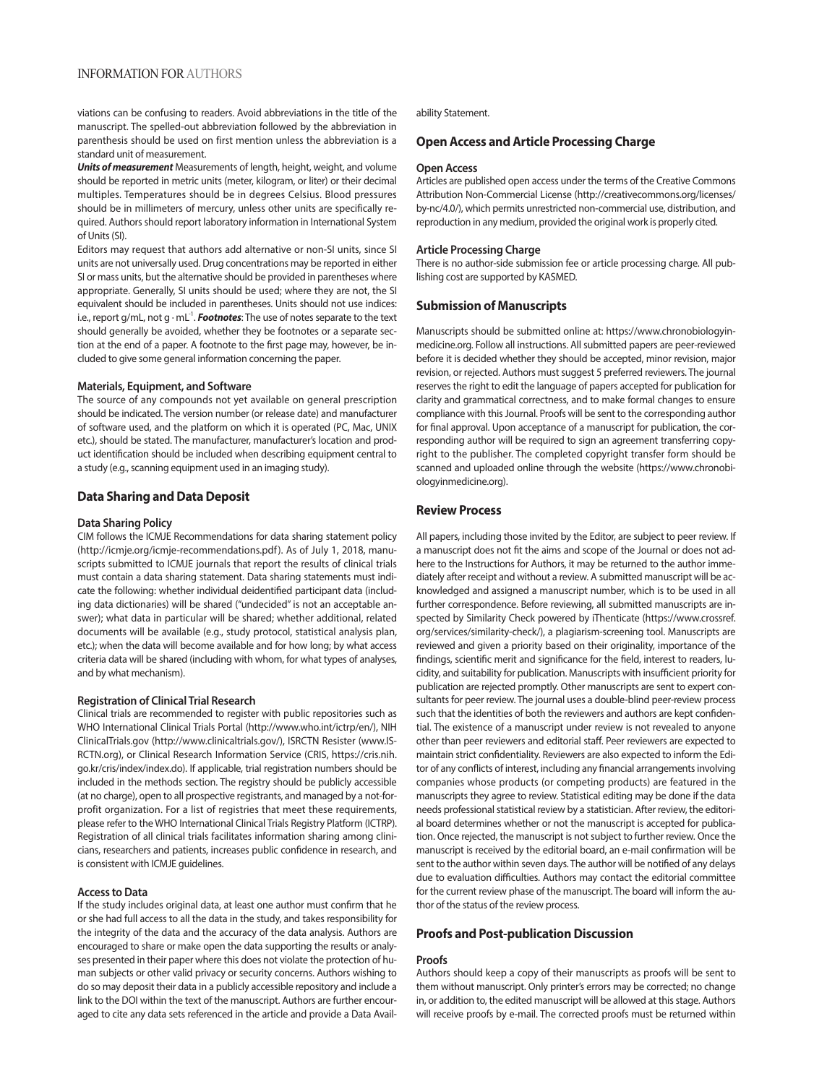# INFORMATION FOR AUTHORS

viations can be confusing to readers. Avoid abbreviations in the title of the manuscript. The spelled-out abbreviation followed by the abbreviation in parenthesis should be used on first mention unless the abbreviation is a standard unit of measurement.

*Units of measurement* Measurements of length, height, weight, and volume should be reported in metric units (meter, kilogram, or liter) or their decimal multiples. Temperatures should be in degrees Celsius. Blood pressures should be in millimeters of mercury, unless other units are specifically required. Authors should report laboratory information in International System of Units (SI).

Editors may request that authors add alternative or non-SI units, since SI units are not universally used. Drug concentrations may be reported in either SI or mass units, but the alternative should be provided in parentheses where appropriate. Generally, SI units should be used; where they are not, the SI equivalent should be included in parentheses. Units should not use indices: i.e., report g/mL, not g  $\cdot$  mL<sup>-1</sup>. *Footnotes*: The use of notes separate to the text should generally be avoided, whether they be footnotes or a separate section at the end of a paper. A footnote to the first page may, however, be included to give some general information concerning the paper.

#### **Materials, Equipment, and Software**

The source of any compounds not yet available on general prescription should be indicated. The version number (or release date) and manufacturer of software used, and the platform on which it is operated (PC, Mac, UNIX etc.), should be stated. The manufacturer, manufacturer's location and product identification should be included when describing equipment central to a study (e.g., scanning equipment used in an imaging study).

# **Data Sharing and Data Deposit**

#### **Data Sharing Policy**

CIM follows the ICMJE Recommendations for data sharing statement policy (http://icmje.org/icmje-recommendations.pdf ). As of July 1, 2018, manuscripts submitted to ICMJE journals that report the results of clinical trials must contain a data sharing statement. Data sharing statements must indicate the following: whether individual deidentified participant data (including data dictionaries) will be shared ("undecided" is not an acceptable answer); what data in particular will be shared; whether additional, related documents will be available (e.g., study protocol, statistical analysis plan, etc.); when the data will become available and for how long; by what access criteria data will be shared (including with whom, for what types of analyses, and by what mechanism).

#### **Registration of Clinical Trial Research**

Clinical trials are recommended to register with public repositories such as WHO International Clinical Trials Portal (http://www.who.int/ictrp/en/), NIH ClinicalTrials.gov (http://www.clinicaltrials.gov/), ISRCTN Resister (www.IS-RCTN.org), or Clinical Research Information Service (CRIS, https://cris.nih. go.kr/cris/index/index.do). If applicable, trial registration numbers should be included in the methods section. The registry should be publicly accessible (at no charge), open to all prospective registrants, and managed by a not-forprofit organization. For a list of registries that meet these requirements, please refer to the WHO International Clinical Trials Registry Platform (ICTRP). Registration of all clinical trials facilitates information sharing among clinicians, researchers and patients, increases public confidence in research, and is consistent with ICMJE guidelines.

#### **Access to Data**

If the study includes original data, at least one author must confirm that he or she had full access to all the data in the study, and takes responsibility for the integrity of the data and the accuracy of the data analysis. Authors are encouraged to share or make open the data supporting the results or analyses presented in their paper where this does not violate the protection of human subjects or other valid privacy or security concerns. Authors wishing to do so may deposit their data in a publicly accessible repository and include a link to the DOI within the text of the manuscript. Authors are further encouraged to cite any data sets referenced in the article and provide a Data Availability Statement.

# **Open Access and Article Processing Charge**

#### **Open Access**

Articles are published open access under the terms of the Creative Commons Attribution Non-Commercial License (http://creativecommons.org/licenses/ by-nc/4.0/), which permits unrestricted non-commercial use, distribution, and reproduction in any medium, provided the original work is properly cited.

#### **Article Processing Charge**

There is no author-side submission fee or article processing charge. All publishing cost are supported by KASMED.

# **Submission of Manuscripts**

Manuscripts should be submitted online at: https://www.chronobiologyinmedicine.org. Follow all instructions. All submitted papers are peer-reviewed before it is decided whether they should be accepted, minor revision, major revision, or rejected. Authors must suggest 5 preferred reviewers. The journal reserves the right to edit the language of papers accepted for publication for clarity and grammatical correctness, and to make formal changes to ensure compliance with this Journal. Proofs will be sent to the corresponding author for final approval. Upon acceptance of a manuscript for publication, the corresponding author will be required to sign an agreement transferring copyright to the publisher. The completed copyright transfer form should be scanned and uploaded online through the website (https://www.chronobiologyinmedicine.org).

# **Review Process**

All papers, including those invited by the Editor, are subject to peer review. If a manuscript does not fit the aims and scope of the Journal or does not adhere to the Instructions for Authors, it may be returned to the author immediately after receipt and without a review. A submitted manuscript will be acknowledged and assigned a manuscript number, which is to be used in all further correspondence. Before reviewing, all submitted manuscripts are inspected by Similarity Check powered by iThenticate (https://www.crossref. org/services/similarity-check/), a plagiarism-screening tool. Manuscripts are reviewed and given a priority based on their originality, importance of the findings, scientific merit and significance for the field, interest to readers, lucidity, and suitability for publication. Manuscripts with insufficient priority for publication are rejected promptly. Other manuscripts are sent to expert consultants for peer review. The journal uses a double-blind peer-review process such that the identities of both the reviewers and authors are kept confidential. The existence of a manuscript under review is not revealed to anyone other than peer reviewers and editorial staff. Peer reviewers are expected to maintain strict confidentiality. Reviewers are also expected to inform the Editor of any conflicts of interest, including any financial arrangements involving companies whose products (or competing products) are featured in the manuscripts they agree to review. Statistical editing may be done if the data needs professional statistical review by a statistician. After review, the editorial board determines whether or not the manuscript is accepted for publication. Once rejected, the manuscript is not subject to further review. Once the manuscript is received by the editorial board, an e-mail confirmation will be sent to the author within seven days. The author will be notified of any delays due to evaluation difficulties. Authors may contact the editorial committee for the current review phase of the manuscript. The board will inform the author of the status of the review process.

# **Proofs and Post-publication Discussion**

#### **Proofs**

Authors should keep a copy of their manuscripts as proofs will be sent to them without manuscript. Only printer's errors may be corrected; no change in, or addition to, the edited manuscript will be allowed at this stage. Authors will receive proofs by e-mail. The corrected proofs must be returned within